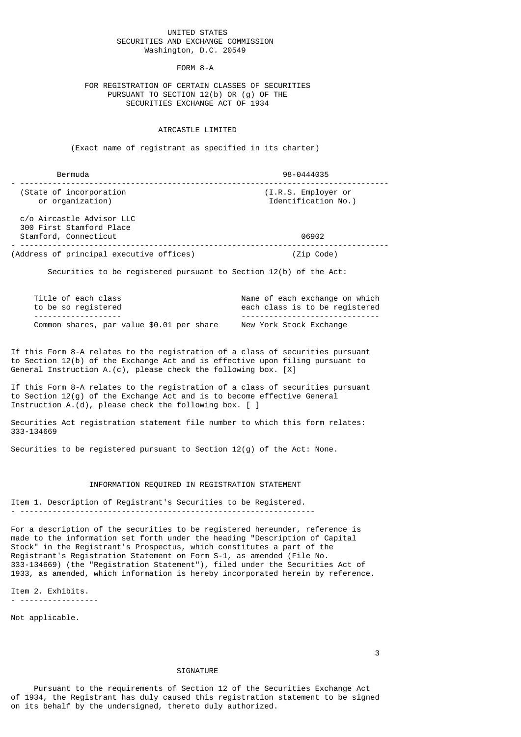## UNITED STATES SECURITIES AND EXCHANGE COMMISSION Washington, D.C. 20549

FORM 8-A

 FOR REGISTRATION OF CERTAIN CLASSES OF SECURITIES PURSUANT TO SECTION 12(b) OR (g) OF THE SECURITIES EXCHANGE ACT OF 1934

## AIRCASTLE LIMITED

(Exact name of registrant as specified in its charter)

| Bermuda                                     | 98-0444035                                 |
|---------------------------------------------|--------------------------------------------|
| (State of incorporation<br>or organization) | (I.R.S. Employer or<br>Identification No.) |
| c/o Aircastle Advisor LLC                   |                                            |

 300 First Stamford Place Stamford, Connecticut 06902 - -------------------------------------------------------------------------------- (Address of principal executive offices) (Zip Code)

Securities to be registered pursuant to Section 12(b) of the Act:

| Title of each class                       | Name of each exchange on which   |
|-------------------------------------------|----------------------------------|
| to be so registered                       | each class is to be registered   |
| --------------------                      | -------------------------------- |
| Common shares, par value \$0.01 per share | New York Stock Exchange          |

If this Form 8-A relates to the registration of a class of securities pursuant to Section 12(b) of the Exchange Act and is effective upon filing pursuant to General Instruction A.(c), please check the following box. [X]

If this Form 8-A relates to the registration of a class of securities pursuant to Section  $12(q)$  of the Exchange Act and is to become effective General Instruction A.(d), please check the following box.  $\lceil \ \rceil$ 

Securities Act registration statement file number to which this form relates: 333-134669

Securities to be registered pursuant to Section 12(g) of the Act: None.

## INFORMATION REQUIRED IN REGISTRATION STATEMENT

Item 1. Description of Registrant's Securities to be Registered. - ----------------------------------------------------------------

For a description of the securities to be registered hereunder, reference is made to the information set forth under the heading "Description of Capital Stock" in the Registrant's Prospectus, which constitutes a part of the Registrant's Registration Statement on Form S-1, as amended (File No. 333-134669) (the "Registration Statement"), filed under the Securities Act of 1933, as amended, which information is hereby incorporated herein by reference.

Item 2. Exhibits. - -----------------

Not applicable.

3

## SIGNATURE

 Pursuant to the requirements of Section 12 of the Securities Exchange Act of 1934, the Registrant has duly caused this registration statement to be signed on its behalf by the undersigned, thereto duly authorized.